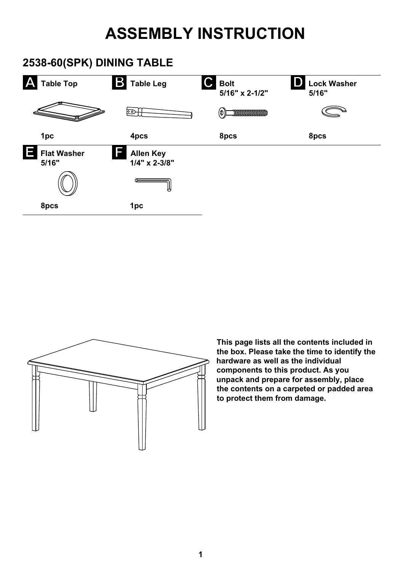## **ASSEMBLY INSTRUCTION**

## **2538-60(SPK) DINING TABLE**





**This page lists all the contents included in the box. Please take the time to identify the hardware as well as the individual components to this product. As you unpack and prepare for assembly, place the contents on a carpeted or padded area to protect them from damage.**